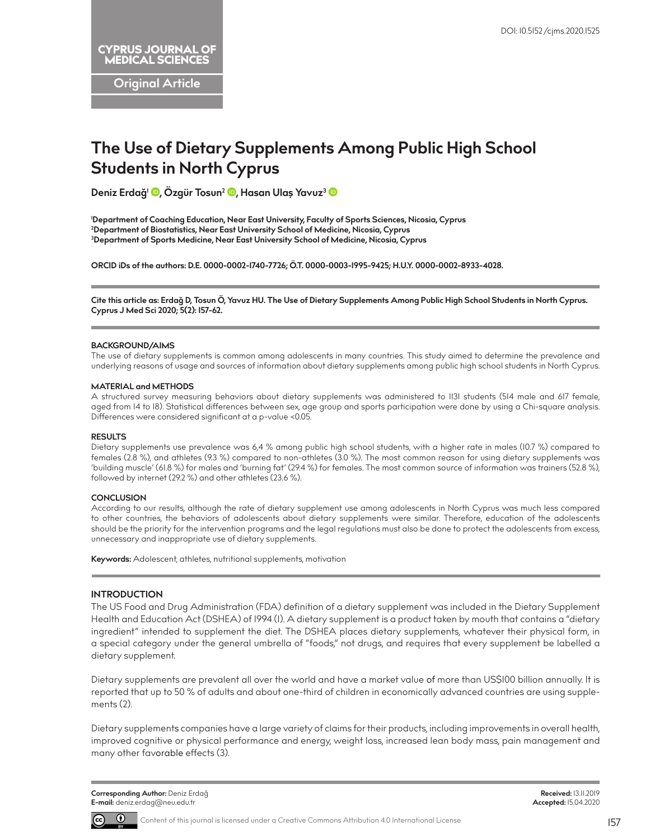**Original Article**

# **The Use of Dietary Supplements Among Public High School Students in North Cyprus**

**Deniz Erdağ1 [,](http://orcid.org/0000-0002-1740-7726) Özgür Tosun2 [,](http://orcid.org/0000-0003-1995-9425) Hasan Ulaş Yavuz[3](http://orcid.org/0000-0002-8933-4028)**

**1 Department of Coaching Education, Near East University, Faculty of Sports Sciences, Nicosia, Cyprus 2 Department of Biostatistics, Near East University School of Medicine, Nicosia, Cyprus 3 Department of Sports Medicine, Near East University School of Medicine, Nicosia, Cyprus**

**ORCID iDs of the authors: D.E. 0000-0002-1740-7726; Ö.T. 0000-0003-1995-9425; H.U.Y. 0000-0002-8933-4028.**

**Cite this article as: Erdağ D, Tosun Ö, Yavuz HU. The Use of Dietary Supplements Among Public High School Students in North Cyprus. Cyprus J Med Sci 2020; 5(2): 157-62.**

#### **BACKGROUND/AIMS**

The use of dietary supplements is common among adolescents in many countries. This study aimed to determine the prevalence and underlying reasons of usage and sources of information about dietary supplements among public high school students in North Cyprus.

#### **MATERIAL and METHODS**

A structured survey measuring behaviors about dietary supplements was administered to 1131 students (514 male and 617 female, aged from 14 to 18). Statistical differences between sex, age group and sports participation were done by using a Chi-square analysis. Differences were considered significant at a p-value <0.05.

#### **RESULTS**

Dietary supplements use prevalence was 6,4 % among public high school students, with a higher rate in males (10.7 %) compared to females (2.8 %), and athletes (9.3 %) compared to non-athletes (3.0 %). The most common reason for using dietary supplements was 'building muscle' (61.8 %) for males and 'burning fat' (29.4 %) for females. The most common source of information was trainers (52.8 %), followed by internet (29.2 %) and other athletes (23.6 %).

#### **CONCLUSION**

According to our results, although the rate of dietary supplement use among adolescents in North Cyprus was much less compared to other countries, the behaviors of adolescents about dietary supplements were similar. Therefore, education of the adolescents should be the priority for the intervention programs and the legal regulations must also be done to protect the adolescents from excess, unnecessary and inappropriate use of dietary supplements.

**Keywords:** Adolescent, athletes, nutritional supplements, motivation

# **INTRODUCTION**

The US Food and Drug Administration (FDA) definition of a dietary supplement was included in the Dietary Supplement Health and Education Act (DSHEA) of 1994 (1). A dietary supplement is a product taken by mouth that contains a "dietary ingredient" intended to supplement the diet. The DSHEA places dietary supplements, whatever their physical form, in a special category under the general umbrella of "foods," not drugs, and requires that every supplement be labelled a dietary supplement.

Dietary supplements are prevalent all over the world and have a market value of more than US\$100 billion annually. It is reported that up to 50 % of adults and about one-third of children in economically advanced countries are using supplements (2).

Dietary supplements companies have a large variety of claims for their products, including improvements in overall health, improved cognitive or physical performance and energy, weight loss, increased lean body mass, pain management and many other favorable effects (3).



**Received:** 13.11.2019 **Accepted:** 15.04.2020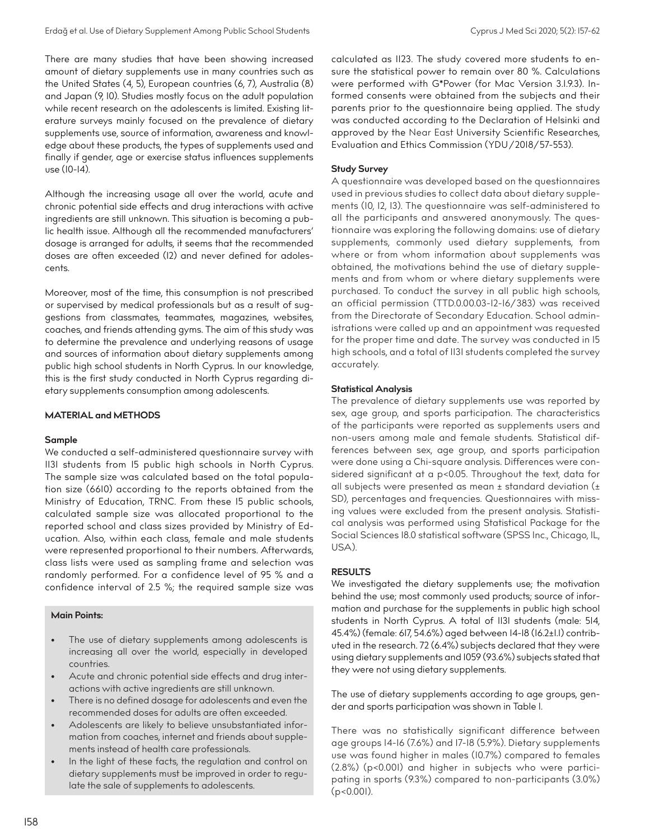There are many studies that have been showing increased amount of dietary supplements use in many countries such as the United States (4, 5), European countries (6, 7), Australia (8) and Japan (9, 10). Studies mostly focus on the adult population while recent research on the adolescents is limited. Existing literature surveys mainly focused on the prevalence of dietary supplements use, source of information, awareness and knowledge about these products, the types of supplements used and finally if gender, age or exercise status influences supplements use (10-14).

Although the increasing usage all over the world, acute and chronic potential side effects and drug interactions with active ingredients are still unknown. This situation is becoming a public health issue. Although all the recommended manufacturers' dosage is arranged for adults, it seems that the recommended doses are often exceeded (12) and never defined for adolescents.

Moreover, most of the time, this consumption is not prescribed or supervised by medical professionals but as a result of suggestions from classmates, teammates, magazines, websites, coaches, and friends attending gyms. The aim of this study was to determine the prevalence and underlying reasons of usage and sources of information about dietary supplements among public high school students in North Cyprus. In our knowledge, this is the first study conducted in North Cyprus regarding dietary supplements consumption among adolescents.

## **MATERIAL and METHODS**

### **Sample**

We conducted a self-administered questionnaire survey with 1131 students from 15 public high schools in North Cyprus. The sample size was calculated based on the total population size (6610) according to the reports obtained from the Ministry of Education, TRNC. From these 15 public schools, calculated sample size was allocated proportional to the reported school and class sizes provided by Ministry of Education. Also, within each class, female and male students were represented proportional to their numbers. Afterwards, class lists were used as sampling frame and selection was randomly performed. For a confidence level of 95 % and a confidence interval of 2.5 %; the required sample size was

# **Main Points:**

- The use of dietary supplements among adolescents is increasing all over the world, especially in developed countries.
- Acute and chronic potential side effects and drug interactions with active ingredients are still unknown.
- There is no defined dosage for adolescents and even the recommended doses for adults are often exceeded.
- Adolescents are likely to believe unsubstantiated information from coaches, internet and friends about supplements instead of health care professionals.
- In the light of these facts, the regulation and control on dietary supplements must be improved in order to regulate the sale of supplements to adolescents.

calculated as 1123. The study covered more students to ensure the statistical power to remain over 80 %. Calculations were performed with G\*Power (for Mac Version 3.1.9.3). Informed consents were obtained from the subjects and their parents prior to the questionnaire being applied. The study was conducted according to the Declaration of Helsinki and approved by the Near East University Scientific Researches, Evaluation and Ethics Commission (YDU/2018/57-553).

## **Study Survey**

A questionnaire was developed based on the questionnaires used in previous studies to collect data about dietary supplements (10, 12, 13). The questionnaire was self-administered to all the participants and answered anonymously. The questionnaire was exploring the following domains: use of dietary supplements, commonly used dietary supplements, from where or from whom information about supplements was obtained, the motivations behind the use of dietary supplements and from whom or where dietary supplements were purchased. To conduct the survey in all public high schools, an official permission (TTD.0.00.03-12-16/383) was received from the Directorate of Secondary Education. School administrations were called up and an appointment was requested for the proper time and date. The survey was conducted in 15 high schools, and a total of 1131 students completed the survey accurately.

### **Statistical Analysis**

The prevalence of dietary supplements use was reported by sex, age group, and sports participation. The characteristics of the participants were reported as supplements users and non-users among male and female students. Statistical differences between sex, age group, and sports participation were done using a Chi-square analysis. Differences were considered significant at a p<0.05. Throughout the text, data for all subjects were presented as mean ± standard deviation (± SD), percentages and frequencies. Questionnaires with missing values were excluded from the present analysis. Statistical analysis was performed using Statistical Package for the Social Sciences 18.0 statistical software (SPSS Inc., Chicago, IL, USA).

# **RESULTS**

We investigated the dietary supplements use; the motivation behind the use; most commonly used products; source of information and purchase for the supplements in public high school students in North Cyprus. A total of 1131 students (male: 514, 45.4%) (female: 617, 54.6%) aged between 14-18 (16.2±1.1) contributed in the research. 72 (6.4%) subjects declared that they were using dietary supplements and 1059 (93.6%) subjects stated that they were not using dietary supplements.

The use of dietary supplements according to age groups, gender and sports participation was shown in Table 1.

There was no statistically significant difference between age groups 14-16 (7.6%) and 17-18 (5.9%). Dietary supplements use was found higher in males (10.7%) compared to females (2.8%) (p<0.001) and higher in subjects who were participating in sports (9.3%) compared to non-participants (3.0%)  $(p < 0.001)$ .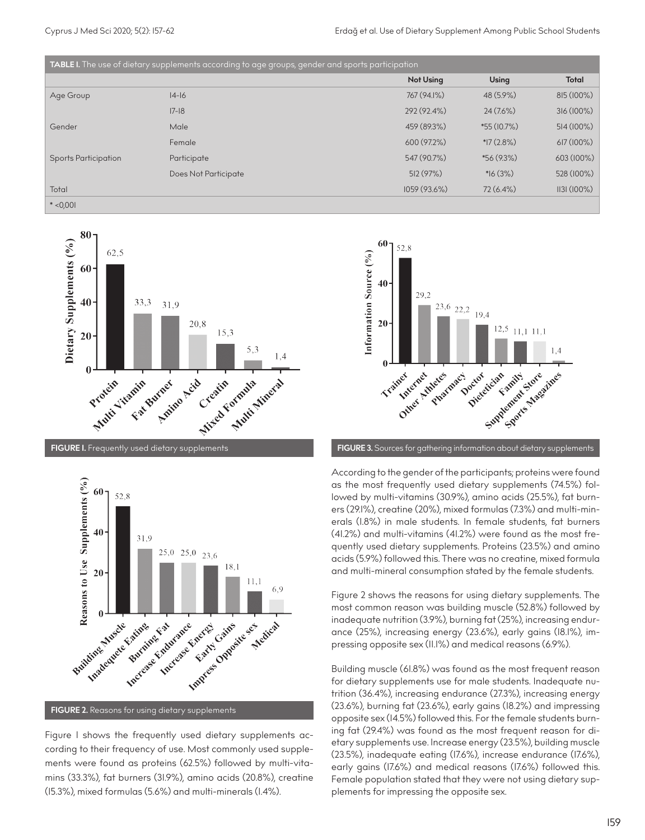| TABLE I. The use of dietary supplements according to age groups, gender and sports participation |                      |                  |               |              |
|--------------------------------------------------------------------------------------------------|----------------------|------------------|---------------|--------------|
|                                                                                                  |                      | <b>Not Using</b> | Using         | <b>Total</b> |
| Age Group                                                                                        | $ 4-16 $             | 767 (94.1%)      | 48 (5.9%)     | 815 (100%)   |
|                                                                                                  | $ 7-18 $             | 292 (92.4%)      | $24(7.6\%)$   | 316 (100%)   |
| Gender                                                                                           | Male                 | 459 (89.3%)      | $*55(10.7\%)$ | 514 (100%)   |
|                                                                                                  | Female               | 600 (97.2%)      | $*17(2.8\%)$  | 617 (100%)   |
| <b>Sports Participation</b>                                                                      | Participate          | 547 (90.7%)      | $*56(9.3\%)$  | 603 (100%)   |
|                                                                                                  | Does Not Participate | 512 (97%)        | $*16(3%)$     | 528 (100%)   |
| Total                                                                                            |                      | 1059 (93.6%)     | $72(6.4\%)$   | 1131(100%)   |
| $*$ <0,001                                                                                       |                      |                  |               |              |





Figure 1 shows the frequently used dietary supplements according to their frequency of use. Most commonly used supplements were found as proteins (62.5%) followed by multi-vitamins (33.3%), fat burners (31.9%), amino acids (20.8%), creatine (15.3%), mixed formulas (5.6%) and multi-minerals (1.4%).



According to the gender of the participants; proteins were found as the most frequently used dietary supplements (74.5%) followed by multi-vitamins (30.9%), amino acids (25.5%), fat burners (29.1%), creatine (20%), mixed formulas (7.3%) and multi-minerals (1.8%) in male students. In female students, fat burners (41.2%) and multi-vitamins (41.2%) were found as the most frequently used dietary supplements. Proteins (23.5%) and amino acids (5.9%) followed this. There was no creatine, mixed formula and multi-mineral consumption stated by the female students.

Figure 2 shows the reasons for using dietary supplements. The most common reason was building muscle (52.8%) followed by inadequate nutrition (3.9%), burning fat (25%), increasing endurance (25%), increasing energy (23.6%), early gains (18.1%), impressing opposite sex (11.1%) and medical reasons (6.9%).

Building muscle (61.8%) was found as the most frequent reason for dietary supplements use for male students. Inadequate nutrition (36.4%), increasing endurance (27.3%), increasing energy (23.6%), burning fat (23.6%), early gains (18.2%) and impressing opposite sex (14.5%) followed this. For the female students burning fat (29.4%) was found as the most frequent reason for dietary supplements use. Increase energy (23.5%), building muscle (23.5%), inadequate eating (17.6%), increase endurance (17.6%), early gains (17.6%) and medical reasons (17.6%) followed this. Female population stated that they were not using dietary supplements for impressing the opposite sex.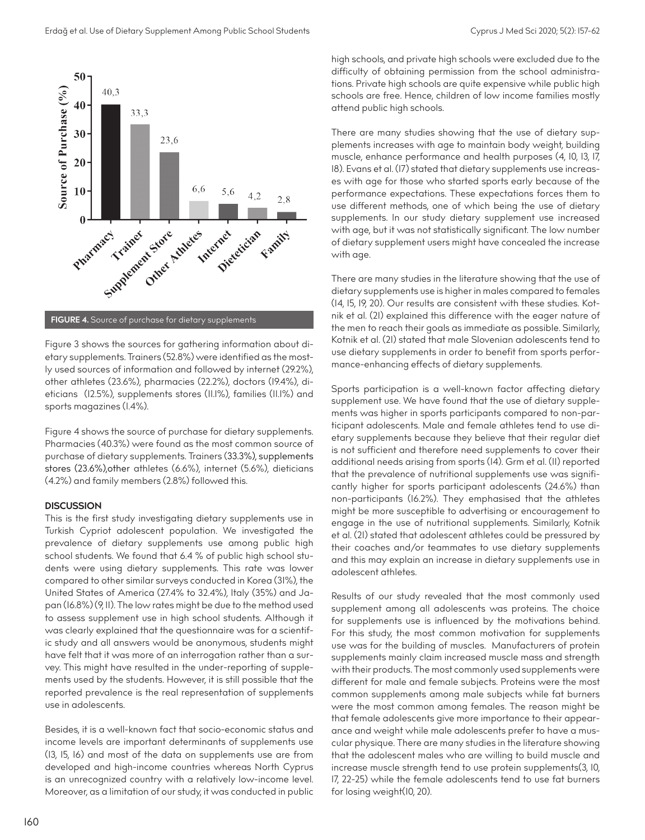

**FIGURE 4.** Source of purchase for dietary supplements

Figure 3 shows the sources for gathering information about dietary supplements. Trainers (52.8%) were identified as the mostly used sources of information and followed by internet (29.2%), other athletes (23.6%), pharmacies (22.2%), doctors (19.4%), dieticians (12.5%), supplements stores (11.1%), families (11.1%) and sports magazines (1.4%).

Figure 4 shows the source of purchase for dietary supplements. Pharmacies (40.3%) were found as the most common source of purchase of dietary supplements. Trainers (33.3%), supplements stores (23.6%),other athletes (6.6%), internet (5.6%), dieticians (4.2%) and family members (2.8%) followed this.

### **DISCUSSION**

This is the first study investigating dietary supplements use in Turkish Cypriot adolescent population. We investigated the prevalence of dietary supplements use among public high school students. We found that 6.4 % of public high school students were using dietary supplements. This rate was lower compared to other similar surveys conducted in Korea (31%), the United States of America (27.4% to 32.4%), Italy (35%) and Japan (16.8%) (9, 11). The low rates might be due to the method used to assess supplement use in high school students. Although it was clearly explained that the questionnaire was for a scientific study and all answers would be anonymous, students might have felt that it was more of an interrogation rather than a survey. This might have resulted in the under-reporting of supplements used by the students. However, it is still possible that the reported prevalence is the real representation of supplements use in adolescents.

Besides, it is a well-known fact that socio-economic status and income levels are important determinants of supplements use (13, 15, 16) and most of the data on supplements use are from developed and high-income countries whereas North Cyprus is an unrecognized country with a relatively low-income level. Moreover, as a limitation of our study, it was conducted in public high schools, and private high schools were excluded due to the difficulty of obtaining permission from the school administrations. Private high schools are quite expensive while public high schools are free. Hence, children of low income families mostly attend public high schools.

There are many studies showing that the use of dietary supplements increases with age to maintain body weight, building muscle, enhance performance and health purposes (4, 10, 13, 17, 18). Evans et al. (17) stated that dietary supplements use increases with age for those who started sports early because of the performance expectations. These expectations forces them to use different methods, one of which being the use of dietary supplements. In our study dietary supplement use increased with age, but it was not statistically significant. The low number of dietary supplement users might have concealed the increase with age.

There are many studies in the literature showing that the use of dietary supplements use is higher in males compared to females (14, 15, 19, 20). Our results are consistent with these studies. Kotnik et al. (21) explained this difference with the eager nature of the men to reach their goals as immediate as possible. Similarly, Kotnik et al. (21) stated that male Slovenian adolescents tend to use dietary supplements in order to benefit from sports performance-enhancing effects of dietary supplements.

Sports participation is a well-known factor affecting dietary supplement use. We have found that the use of dietary supplements was higher in sports participants compared to non-participant adolescents. Male and female athletes tend to use dietary supplements because they believe that their regular diet is not sufficient and therefore need supplements to cover their additional needs arising from sports (14). Grm et al. (11) reported that the prevalence of nutritional supplements use was significantly higher for sports participant adolescents (24.6%) than non-participants (16.2%). They emphasised that the athletes might be more susceptible to advertising or encouragement to engage in the use of nutritional supplements. Similarly, Kotnik et al. (21) stated that adolescent athletes could be pressured by their coaches and/or teammates to use dietary supplements and this may explain an increase in dietary supplements use in adolescent athletes.

Results of our study revealed that the most commonly used supplement among all adolescents was proteins. The choice for supplements use is influenced by the motivations behind. For this study, the most common motivation for supplements use was for the building of muscles. Manufacturers of protein supplements mainly claim increased muscle mass and strength with their products. The most commonly used supplements were different for male and female subjects. Proteins were the most common supplements among male subjects while fat burners were the most common among females. The reason might be that female adolescents give more importance to their appearance and weight while male adolescents prefer to have a muscular physique. There are many studies in the literature showing that the adolescent males who are willing to build muscle and increase muscle strength tend to use protein supplements(3, 10, 17, 22-25) while the female adolescents tend to use fat burners for losing weight(10, 20).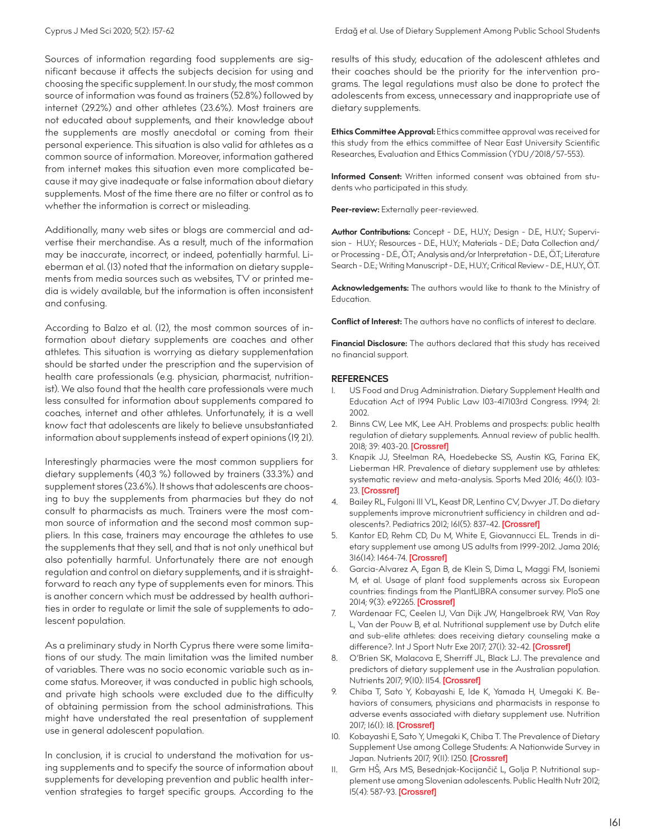Sources of information regarding food supplements are significant because it affects the subjects decision for using and choosing the specific supplement. In our study, the most common source of information was found as trainers (52.8%) followed by internet (29.2%) and other athletes (23.6%). Most trainers are not educated about supplements, and their knowledge about the supplements are mostly anecdotal or coming from their personal experience. This situation is also valid for athletes as a common source of information. Moreover, information gathered from internet makes this situation even more complicated because it may give inadequate or false information about dietary supplements. Most of the time there are no filter or control as to whether the information is correct or misleading.

Additionally, many web sites or blogs are commercial and advertise their merchandise. As a result, much of the information may be inaccurate, incorrect, or indeed, potentially harmful. Lieberman et al. (13) noted that the information on dietary supplements from media sources such as websites, TV or printed media is widely available, but the information is often inconsistent and confusing.

According to Balzo et al. (12), the most common sources of information about dietary supplements are coaches and other athletes. This situation is worrying as dietary supplementation should be started under the prescription and the supervision of health care professionals (e.g. physician, pharmacist, nutritionist). We also found that the health care professionals were much less consulted for information about supplements compared to coaches, internet and other athletes. Unfortunately, it is a well know fact that adolescents are likely to believe unsubstantiated information about supplements instead of expert opinions (19, 21).

Interestingly pharmacies were the most common suppliers for dietary supplements (40,3 %) followed by trainers (33.3%) and supplement stores (23.6%). It shows that adolescents are choosing to buy the supplements from pharmacies but they do not consult to pharmacists as much. Trainers were the most common source of information and the second most common suppliers. In this case, trainers may encourage the athletes to use the supplements that they sell, and that is not only unethical but also potentially harmful. Unfortunately there are not enough regulation and control on dietary supplements, and it is straightforward to reach any type of supplements even for minors. This is another concern which must be addressed by health authorities in order to regulate or limit the sale of supplements to adolescent population.

As a preliminary study in North Cyprus there were some limitations of our study. The main limitation was the limited number of variables. There was no socio economic variable such as income status. Moreover, it was conducted in public high schools, and private high schools were excluded due to the difficulty of obtaining permission from the school administrations. This might have understated the real presentation of supplement use in general adolescent population.

In conclusion, it is crucial to understand the motivation for using supplements and to specify the source of information about supplements for developing prevention and public health intervention strategies to target specific groups. According to the results of this study, education of the adolescent athletes and their coaches should be the priority for the intervention programs. The legal regulations must also be done to protect the adolescents from excess, unnecessary and inappropriate use of dietary supplements.

**Ethics Committee Approval:** Ethics committee approval was received for this study from the ethics committee of Near East University Scientific Researches, Evaluation and Ethics Commission (YDU/2018/57-553).

**Informed Consent:** Written informed consent was obtained from students who participated in this study.

Peer-review: Externally peer-reviewed.

**Author Contributions:** Concept - D.E., H.U.Y.; Design - D.E., H.U.Y.; Supervision - H.U.Y.; Resources - D.E., H.U.Y.; Materials - D.E.; Data Collection and/ or Processing - D.E., Ö.T.; Analysis and/or Interpretation - D.E., Ö.T.; Literature Search - D.E.; Writing Manuscript - D.E., H.U.Y.; Critical Review - D.E., H.U.Y., Ö.T.

**Acknowledgements:** The authors would like to thank to the Ministry of Education.

**Conflict of Interest:** The authors have no conflicts of interest to declare.

**Financial Disclosure:** The authors declared that this study has received no financial support.

## **REFERENCES**

- 1. US Food and Drug Administration. Dietary Supplement Health and Education Act of 1994 Public Law 103-417103rd Congress. 1994; 21: 2002.
- 2. Binns CW, Lee MK, Lee AH. Problems and prospects: public health regulation of dietary supplements. Annual review of public health. 2018; 39: 403-20. [[Crossref\]](https://doi.org/10.1146/annurev-publhealth-040617-013638)
- 3. Knapik JJ, Steelman RA, Hoedebecke SS, Austin KG, Farina EK, Lieberman HR. Prevalence of dietary supplement use by athletes: systematic review and meta-analysis. Sports Med 2016; 46(1): 103- 23. [\[Crossref](https://doi.org/10.1007/s40279-015-0387-7)]
- 4. Bailey RL, Fulgoni III VL, Keast DR, Lentino CV, Dwyer JT. Do dietary supplements improve micronutrient sufficiency in children and adolescents?. Pediatrics 2012; 161(5): 837-42. [[Crossref\]](https://doi.org/10.1016/j.jpeds.2012.05.009)
- 5. Kantor ED, Rehm CD, Du M, White E, Giovannucci EL. Trends in dietary supplement use among US adults from 1999-2012. Jama 2016; 316(14): 1464-74. [\[Crossref](https://doi.org/10.1001/jama.2016.14403)]
- 6. Garcia-Alvarez A, Egan B, de Klein S, Dima L, Maggi FM, Isoniemi M, et al. Usage of plant food supplements across six European countries: findings from the PlantLIBRA consumer survey. PloS one 2014; 9(3): e92265. [[Crossref\]](https://doi.org/10.1371/journal.pone.0092265)
- 7. Wardenaar FC, Ceelen IJ, Van Dijk JW, Hangelbroek RW, Van Roy L, Van der Pouw B, et al. Nutritional supplement use by Dutch elite and sub-elite athletes: does receiving dietary counseling make a difference?. Int J Sport Nutr Exe 2017; 27(I): 32-42. [[Crossref\]](https://doi.org/10.1123/ijsnem.2016-0157)
- 8. O'Brien SK, Malacova E, Sherriff JL, Black LJ. The prevalence and predictors of dietary supplement use in the Australian population. Nutrients 2017; 9(10): 1154. [[Crossref\]](https://doi.org/10.3390/nu9101154)
- 9. Chiba T, Sato Y, Kobayashi E, Ide K, Yamada H, Umegaki K. Behaviors of consumers, physicians and pharmacists in response to adverse events associated with dietary supplement use. Nutrition 2017; 16(1): 18. [\[Crossref](https://doi.org/10.1186/s12937-017-0239-4)]
- Kobayashi E, Sato Y, Umegaki K, Chiba T. The Prevalence of Dietary Supplement Use among College Students: A Nationwide Survey in Japan. Nutrients 2017; 9(II): 1250. [[Crossref\]](https://doi.org/10.3390/nu9111250)
- 11. Grm HŠ, Ars MS, Besednjak-Kocijančič L, Golja P. Nutritional supplement use among Slovenian adolescents. Public Health Nutr 2012; 15(4): 587-93. [\[Crossref](https://doi.org/10.1017/S1368980011002333)]